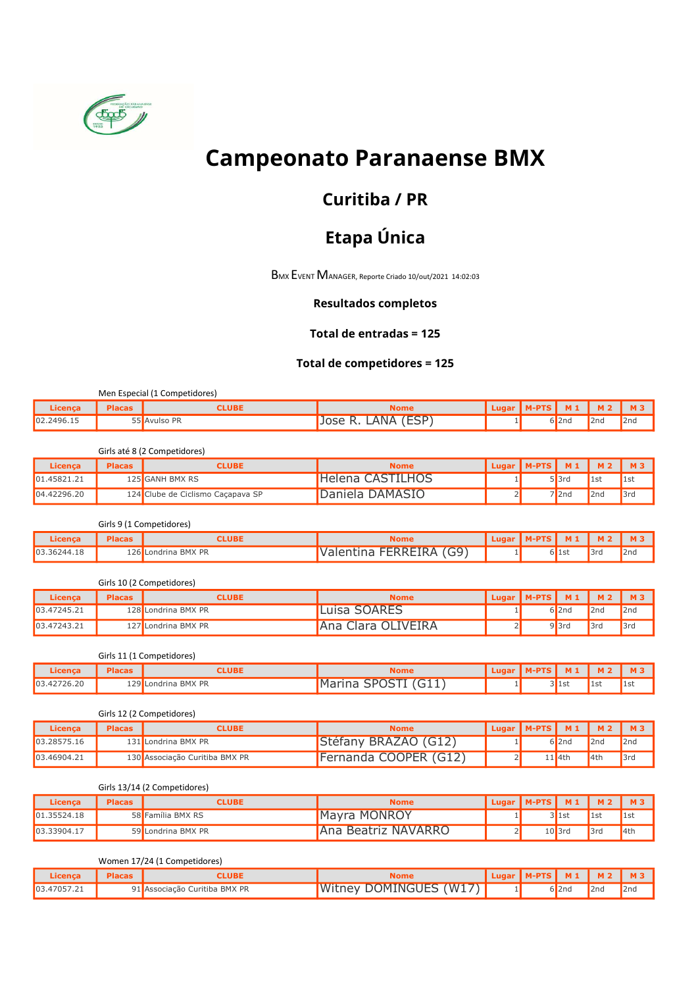

# Campeonato Paranaense BMX

### Curitiba / PR

## Etapa Única

BMX EVENT MANAGER, Reporte Criado 10/out/2021 14:02:03

#### Resultados completos

#### Total de entradas = 125

#### Total de competidores = 125

|            |               | Men Especial (1 Competidores) |                                   |                              |          |                 |     |
|------------|---------------|-------------------------------|-----------------------------------|------------------------------|----------|-----------------|-----|
| Licenca    | <b>Placas</b> | CLUBE                         | Nome                              | Lugar   M-PTS   M1   M2   M3 |          |                 |     |
| 02.2496.15 |               | 55 Avulso PR                  | LANA (ESP <sup>)</sup><br>Jose R. |                              | $6$  2nd | 2 <sub>nd</sub> | 2nd |

#### Girls até 8 (2 Competidores)

| Licença     | <b>Placas</b> | "LUBE"                            | <b>Nome</b>      | Lugar   M-PTS   M1 |          | <b>M2</b> |     |
|-------------|---------------|-----------------------------------|------------------|--------------------|----------|-----------|-----|
| 01.45821.21 |               | 125 <mark>I</mark> GANH BMX RS    | Helena CASTILHOS |                    | $5$  3rd | 1st       |     |
| 04.42296.20 |               | 124 Clube de Ciclismo Cacapava SP | Daniela DAMASIO  |                    | $7$  2nd | 2nd       | 3rd |

Girls 9 (1 Competidores)

| Licenc;            |     | '.UB.           | Nome                                 |  |       |     | M   |
|--------------------|-----|-----------------|--------------------------------------|--|-------|-----|-----|
| 03.36244.18<br>___ | 126 | Londrina BMX PR | $\overline{GQ}$<br>FFRRFIRA<br>ا د ا |  | DIISL | 3rd | 2nd |

#### Girls 10 (2 Competidores)

| Licenca     | <b>Placas</b> | <b>CLUBE</b>        | <b>Nome</b>               | Lugar   M-PTS | $M_1$ | M <sub>2</sub> | <b>M3</b> |
|-------------|---------------|---------------------|---------------------------|---------------|-------|----------------|-----------|
| 03.47245.21 |               | 128 Londrina BMX PR | <b>SOARES</b><br>.∟uisa S |               | 5l2nd | 2nd            | 2nd       |
| 03.47243.21 | 771           | Londrina BMX PR     | Ana Clara OLIVEIRA        |               | 9B3rd | 3rd            | 3rd       |

Girls 11 (1 Competidores)

| .icenca     | <b>Placas</b> | .UBE                | vome                                                         | l ugar |         | м.  | M <sub>z</sub> |
|-------------|---------------|---------------------|--------------------------------------------------------------|--------|---------|-----|----------------|
| 03.42726.20 |               | 129 Londrina BMX PR | $ \sim$ $P^{\sim}$<br><u>I</u> Marina<br>$\sqrt{2}$<br>illd. |        | ------- | ∎⊥⊃ | llst           |

|  | Girls 12 (2 Competidores) |  |
|--|---------------------------|--|
|  |                           |  |

| Licenca     | <b>Placas</b> | CLUBE                          | <b>Nome</b>           | Lugar   M-PTS | $M_1$    |      | <b>M3</b>       |
|-------------|---------------|--------------------------------|-----------------------|---------------|----------|------|-----------------|
| 03.28575.16 |               | 131 Londrina BMX PR            | Stéfany BRAZAO (G12)  |               | 6 2nd    | 2nd  | 2nd             |
| 03.46904.21 |               | 130 Associação Curitiba BMX PR | Fernanda COOPER (G12) |               | $1$  4th | 14th | 3 <sub>ra</sub> |

#### Girls 13/14 (2 Competidores)

| Licenca     | <b>Placas</b> | CLUBE              | <b>Nome</b>                | <b>Lugar</b> | I M-PTS I | $M_1$    | M <sub>2</sub> | <b>M3</b> |
|-------------|---------------|--------------------|----------------------------|--------------|-----------|----------|----------------|-----------|
| 01.35524.18 |               | 58 Família BMX RS  | <b>Mayra MONROY</b>        |              |           | llst     | 1st            | 1st       |
| 03.33904.17 |               | 59 Londrina BMX PR | <b>Ana Beatriz NAVARRO</b> |              |           | $10$ 3rd | 3rd            | $I$ 4th   |

Women 17/24 (1 Competidores)

| .icenca     | .UBI                          | tome                   |  | M1       | M <sub>2</sub>  |     |
|-------------|-------------------------------|------------------------|--|----------|-----------------|-----|
| 03.47057.21 | 91 Associação Curitiba BMX PR | Witney DOMINGUES (W17) |  | $6$  2nd | 2 <sub>nd</sub> | 2nd |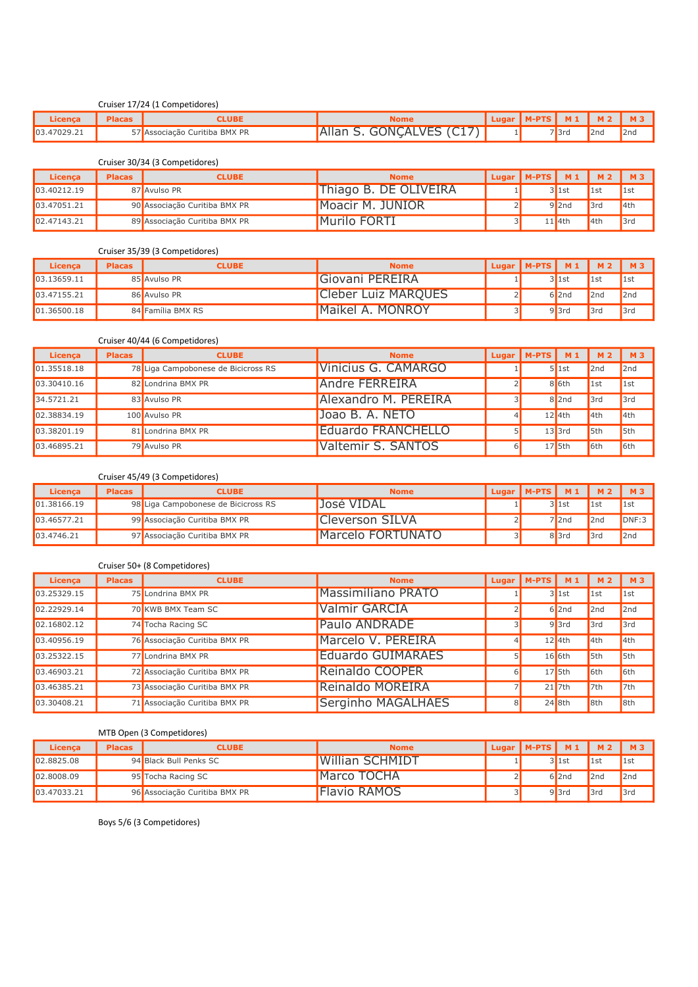|             |               | Cruiser 17/24 (1 Competidores) |                          |                                      |       |                 |     |
|-------------|---------------|--------------------------------|--------------------------|--------------------------------------|-------|-----------------|-----|
| Licenca     | <b>Placas</b> | CLUBE                          | <b>Nome</b>              | $\vert$ Lugar   M-PTS   M1   M2   M3 |       |                 |     |
| 03.47029.21 |               | 57 Associação Curitiba BMX PR  | Allan S. GONCALVES (C17) |                                      | 'l3rd | 2 <sub>nd</sub> | 2nd |

Cruiser 30/34 (3 Competidores)

| Licenca     | <b>Placas</b> | <b>CLUBE</b>                  | <b>Nome</b>           | Lugar   M-PTS   M1   M2   M3 |          |      |     |
|-------------|---------------|-------------------------------|-----------------------|------------------------------|----------|------|-----|
| 03.40212.19 |               | 87 Avulso PR                  | Thiago B. DE OLIVEIRA |                              | 3llst    | 1st  | 1st |
| 03.47051.21 |               | 90 Associação Curitiba BMX PR | Moacir M. JUNIOR      |                              | $9$  2nd | 3rd  | 4th |
| 02.47143.21 |               | 89 Associação Curitiba BMX PR | <b>I</b> Murilo FORTI |                              | $11$ 4th | 14th | 3rd |

#### Cruiser 35/39 (3 Competidores)

| Licenca     | <b>Placas</b> | <b>CLUBE</b>      | <b>Nome</b>                | ' Lugar   M-PTS   M 1 |          | M <sub>2</sub>  | 1 M3 |
|-------------|---------------|-------------------|----------------------------|-----------------------|----------|-----------------|------|
| 03.13659.11 |               | 85 Avulso PR      | Giovani PEREIRA            |                       | 311st    | $\mathsf{1st}$  | 1st  |
| 03.47155.21 |               | 86 Avulso PR      | <b>Cleber Luiz MARQUES</b> |                       | $6$  2nd | 2nd             | 2nd  |
| 01.36500.18 |               | 84 Família BMX RS | <b>I</b> Maikel A. MONROY  |                       | 9 3rd    | 3 <sub>rc</sub> | 3rd  |

|             |               | Cruiser 40/44 (6 Competidores)      |                           |          |                        |           |      |      |
|-------------|---------------|-------------------------------------|---------------------------|----------|------------------------|-----------|------|------|
| Licenca     | <b>Placas</b> | <b>CLUBE</b>                        | <b>Nome</b>               |          | Lugar   $M-PTS$   $M1$ |           | 1 M2 | 1 M3 |
| 01.35518.18 |               | 78 Liga Campobonese de Bicicross RS | Vinicius G. CAMARGO       |          |                        | $5$   1st | 2nd  | 2nd  |
| 03.30410.16 |               | 82 Londrina BMX PR                  | <b>Andre FERREIRA</b>     |          |                        | $8$ 6th   | 1st  | 1st  |
| 34.5721.21  |               | 83 Avulso PR                        | Alexandro M. PEREIRA      |          |                        | $8$  2nd  | 3rd  | 3rd  |
| 02.38834.19 |               | 100 Avulso PR                       | Joao B. A. NETO           | 4        |                        | $12$ 4th  | 4th  | 4th  |
| 03.38201.19 |               | 81 Londrina BMX PR                  | <b>Eduardo FRANCHELLO</b> |          |                        | $13$ 3rd  | 5th  | 5th  |
| 03.46895.21 |               | 79 Avulso PR                        | Valtemir S. SANTOS        | $\sigma$ |                        | $17$ 5th  | 6th  | 6th  |

#### Cruiser 45/49 (3 Competidores)

| Licenca      | <b>Placas</b> | <b>CLUBE</b>                        | <b>Nome</b>       | Uugar   M-PTS   M1   M2   M3 |          |     |       |
|--------------|---------------|-------------------------------------|-------------------|------------------------------|----------|-----|-------|
| 101.38166.19 |               | 98 Liga Campobonese de Bicicross RS | 'José VIDAL       |                              | 31st     | 1st | 1st   |
| 03.46577.21  |               | 99 Associação Curitiba BMX PR       | Cleverson SILVA   |                              | $7$  2nd | 2nd | DNF:3 |
| 103.4746.21  |               | 97 Associação Curitiba BMX PR       | Marcelo FORTUNATO |                              | 8 3rd    | 3rd | 2nd   |

#### Cruiser 50+ (8 Competidores)

| Licenca     | <b>Placas</b> | <b>CLUBE</b>                  | <b>Nome</b>               |                | Lugar   M-PTS $\vert$ M 1 |          | <b>M2</b> | <b>M3</b>       |
|-------------|---------------|-------------------------------|---------------------------|----------------|---------------------------|----------|-----------|-----------------|
| 03.25329.15 |               | 75 Londrina BMX PR            | <b>Massimiliano PRATO</b> |                |                           | $3$ 1st  | 1st       | 1st             |
| 02.22929.14 |               | 70 KWB BMX Team SC            | <b>Valmir GARCIA</b>      |                |                           | $6$  2nd | 2nd       | 2nd             |
| 02.16802.12 |               | 74 Tocha Racing SC            | <b>Paulo ANDRADE</b>      |                |                           | $9$ 3rd  | 3rd       | 3rd             |
| 03.40956.19 |               | 76 Associação Curitiba BMX PR | Marcelo V. PEREIRA        |                |                           | $12$ 4th | 4th       | 4th             |
| 03.25322.15 |               | 77 Londrina BMX PR            | <b>Eduardo GUIMARAES</b>  |                |                           | $16$ 6th | 5th       | 5th             |
| 03.46903.21 |               | 72 Associação Curitiba BMX PR | Reinaldo COOPER           | $6 \mid$       |                           | $17$ 5th | 6th       | 6 <sub>th</sub> |
| 03.46385.21 |               | 73 Associação Curitiba BMX PR | Reinaldo MOREIRA          |                |                           | $21$ 7th | 7th       | 7th             |
| 03.30408.21 |               | 71 Associação Curitiba BMX PR | Serginho MAGALHAES        | 8 <sup>l</sup> |                           | $24$ 8th | 8th       | 8th             |

#### MTB Open (3 Competidores)

| Licenca     | <b>Placas</b> | <b>CLUBE</b>                  | <b>Nome</b>            | Lugar   M-PTS   M1   M2 |                  |     |                    |
|-------------|---------------|-------------------------------|------------------------|-------------------------|------------------|-----|--------------------|
| 02.8825.08  |               | 94 Black Bull Penks SC        | <b>Willian SCHMIDT</b> |                         | 3llst            | 1st | $\blacksquare$ 1st |
| 02.8008.09  |               | 95 Tocha Racing SC            | <b>Marco TOCHA</b>     |                         | $6$  2nd         | 2nd | 2nd                |
| 03.47033.21 |               | 96 Associação Curitiba BMX PR | <b>Flavio RAMOS</b>    |                         | 9 <sup>3rd</sup> | 3rd | 3rd                |

Boys 5/6 (3 Competidores)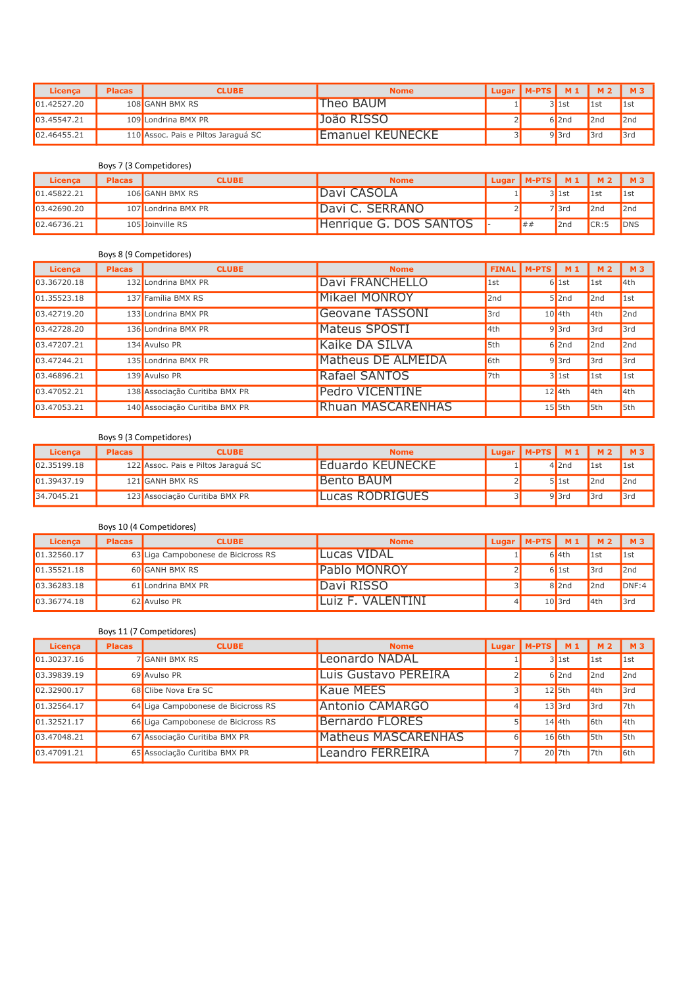| <b>Licenca</b> | <b>Placas</b> | <b>CLUBE</b>                        | <b>Nome</b>             | Lugar   M-PTS   M1   M2   M3 |          |             |     |
|----------------|---------------|-------------------------------------|-------------------------|------------------------------|----------|-------------|-----|
| 01.42527.20    |               | 108 GANH BMX RS                     | Theo BAUM               |                              | 3llst    | $\vert$ 1st |     |
| 03.45547.21    |               | 109 Londrina BMX PR                 | João RISSO              |                              | $6$  2nd | 2nd         | 2nd |
| 02.46455.21    |               | 110 Assoc. Pais e Piltos Jaraguá SC | <b>Emanuel KEUNECKE</b> |                              | $9$  3rd | 3rd         | 3rd |

#### Boys 7 (3 Competidores)

| Licenca      | <b>Placas</b> | <b>CLUBE</b>        | <b>Nome</b>            | Lugar   M-PTS   M1 |       | M <sub>2</sub>     |                |
|--------------|---------------|---------------------|------------------------|--------------------|-------|--------------------|----------------|
| 101.45822.21 |               | 106 GANH BMX RS     | Davi CASOLA            |                    | 31st  | $\blacksquare$ 1st | $\blacksquare$ |
| 103.42690.20 |               | 107 Londrina BMX PR | Davi C. SERRANO        |                    | 'l3rd | 2nd                | 2nd            |
| 02.46736.21  |               | 105 Joinville RS    | Henrique G. DOS SANTOS | ##                 | 2nd   | CR:5               | <b>DNS</b>     |

#### Boys 8 (9 Competidores)

| Licenca     | <b>Placas</b> | <b>CLUBE</b>                   | <b>Nome</b>          |     | FINAL   M-PTS   M1 |          | <b>M2</b>      | <b>M3</b> |
|-------------|---------------|--------------------------------|----------------------|-----|--------------------|----------|----------------|-----------|
| 03.36720.18 |               | 132 Londrina BMX PR            | Davi FRANCHELLO      | 1st |                    | $6$ 1st  | $\mathsf{1st}$ | 4th       |
| 01.35523.18 |               | 137 Família BMX RS             | <b>Mikael MONROY</b> | 2nd |                    | $5$  2nd | 2nd            | 1st       |
| 03.42719.20 |               | 133 Londrina BMX PR            | Geovane TASSONI      | 3rd |                    | $10$ 4th | 4th            | 2nd       |
| 03.42728.20 |               | 136 Londrina BMX PR            | <b>Mateus SPOSTI</b> | 4th |                    | $9$ 3rd  | 3rd            | 3rd       |
| 03.47207.21 |               | 134 Avulso PR                  | Kaike DA SILVA       | 5th |                    | $6$  2nd | 2nd            | 2nd       |
| 03.47244.21 |               | 135 Londrina BMX PR            | Matheus DE ALMEIDA   | 6th |                    | $9$ 3rd  | 3rd            | 3rd       |
| 03.46896.21 |               | 139 Avulso PR                  | Rafael SANTOS        | 7th |                    | $3$ 1st  | 1st            | 1st       |
| 03.47052.21 |               | 138 Associação Curitiba BMX PR | Pedro VICENTINE      |     |                    | $12$ 4th | 4th            | 4th       |
| 03.47053.21 |               | 140 Associação Curitiba BMX PR | Rhuan MASCARENHAS    |     |                    | $15$ 5th | 5th            | 5th       |

#### Boys 9 (3 Competidores)

| Licenca      | <b>Placas</b> | <b>CLUBE</b>                        | <b>Nome</b>             | Lugar   M-PTS   M1   M2   M3 |           |             |                |
|--------------|---------------|-------------------------------------|-------------------------|------------------------------|-----------|-------------|----------------|
| 102.35199.18 |               | 122 Assoc. Pais e Piltos Jaraguá SC | <b>Eduardo KEUNECKE</b> |                              | $4$  2nd  | $\vert$ 1st | $\blacksquare$ |
| 101.39437.19 |               | 121 GANH BMX RS                     | Bento BAUM              |                              | $5$   1st | 2nd         | 2nd            |
| 34.7045.21   |               | 123 Associação Curitiba BMX PR      | Lucas RODRIGUES         |                              | $9$  3rd  | 3rd         | 3rd            |

#### Boys 10 (4 Competidores)

| Licenca     | <b>Placas</b> | <b>CLUBE</b>                        | <b>Nome</b>         | Lugar   M-PTS   $M_1$   M2 |           |                | M <sub>3</sub> |
|-------------|---------------|-------------------------------------|---------------------|----------------------------|-----------|----------------|----------------|
| 01.32560.17 |               | 63 Liga Campobonese de Bicicross RS | 'Lucas VIDAL        |                            | $6$ 4th   | $\blacksquare$ | $\vert$ 1st    |
| 01.35521.18 |               | 60 GANH BMX RS                      | <b>Pablo MONROY</b> |                            | $6$   1st | 3rd            | 2nd            |
| 03.36283.18 |               | 61 Londrina BMX PR                  | Davi RISSO          |                            | $8$  2nd  | 2nd            | DNF:4          |
| 03.36774.18 |               | 62 Avulso PR                        | 'Luiz F. VALENTINI  |                            | $10$ 3rd  | 4th            | 3rd            |

#### Boys 11 (7 Competidores)

| Licenca     | <b>Placas</b> | <b>CLUBE</b>                        | <b>Nome</b>                | Lugar | <b>IM-PTS I</b> | <b>M1</b> | <b>M2</b> | <b>M3</b>   |
|-------------|---------------|-------------------------------------|----------------------------|-------|-----------------|-----------|-----------|-------------|
| 01.30237.16 |               | 7 GANH BMX RS                       | Leonardo NADAL             |       |                 | $3$ 1st   | 1st       | $\vert$ 1st |
| 03.39839.19 |               | 69 Avulso PR                        | Luis Gustavo PEREIRA       |       |                 | $6$  2nd  | 2nd       | 2nd         |
| 02.32900.17 |               | 68 Clibe Nova Era SC                | <b>Kaue MEES</b>           |       |                 | $12$ 5th  | 4th       | 3rd         |
| 01.32564.17 |               | 64 Liga Campobonese de Bicicross RS | <b>Antonio CAMARGO</b>     |       |                 | $13$ 3rd  | 3rd       | 7th         |
| 01.32521.17 |               | 66 Liga Campobonese de Bicicross RS | <b>Bernardo FLORES</b>     |       |                 | $14$ 4th  | 6th       | 4th         |
| 03.47048.21 |               | 67 Associação Curitiba BMX PR       | <b>Matheus MASCARENHAS</b> | 61    |                 | $16$ 6th  | $I$ 5th   | 5th         |
| 03.47091.21 |               | 65 Associação Curitiba BMX PR       | Leandro FERREIRA           |       |                 | $20$ 7th  | 7th       | 6th         |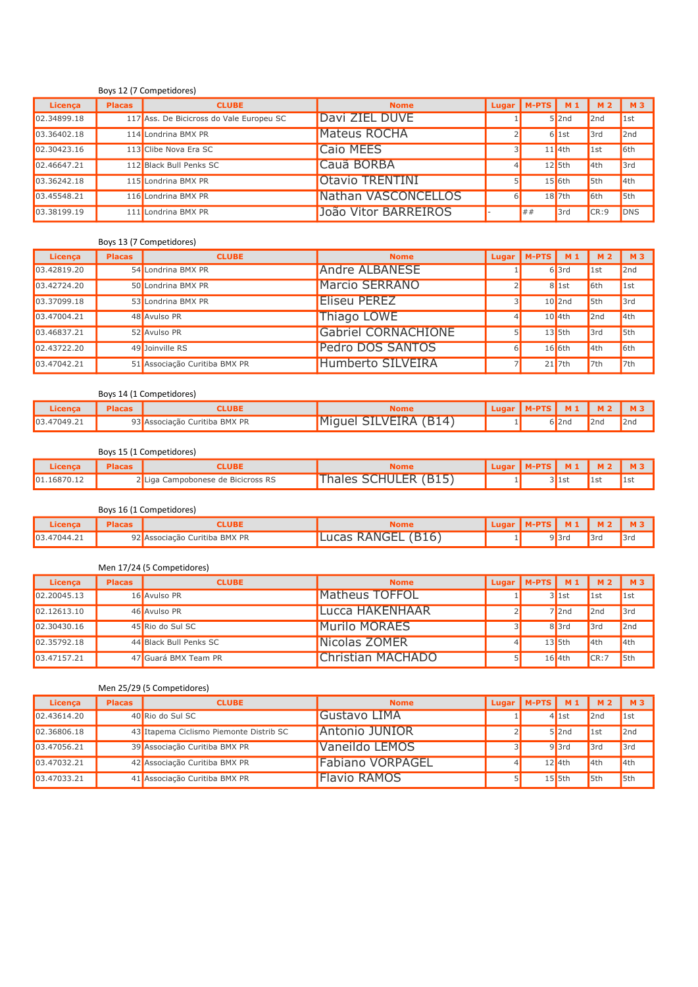#### Boys 12 (7 Competidores)

| Licenca     | <b>Placas</b> | <b>CLUBE</b>                             | <b>Nome</b>            | Lugar | $IM-PTS$ $M1$ |                     | <b>M2</b> | <b>M3</b>       |
|-------------|---------------|------------------------------------------|------------------------|-------|---------------|---------------------|-----------|-----------------|
| 02.34899.18 |               | 117 Ass. De Bicicross do Vale Europeu SC | Davi ZIEL DUVE         |       |               | $5$  2nd            | 2nd       | 1st             |
| 03.36402.18 |               | 114 Londrina BMX PR                      | <b>Mateus ROCHA</b>    |       |               | $6$ 1st             | 3rd       | 2nd             |
| 02.30423.16 |               | 113 Clibe Nova Era SC                    | Caio MEES              |       |               | $11$ 4th            | 1st       | 6 <sup>th</sup> |
| 02.46647.21 |               | 112 Black Bull Penks SC                  | Cauã BORBA             |       |               | $12$ 5th            | 4th       | 3rd             |
| 03.36242.18 |               | 115 Londrina BMX PR                      | <b>Otavio TRENTINI</b> |       |               | $15$ 6th            | 5th       | 4th             |
| 03.45548.21 |               | 116 Londrina BMX PR                      | Nathan VASCONCELLOS    | 61    |               | $18$ <sub>7th</sub> | 6th       | $I$ 5th         |
| 03.38199.19 |               | 111 Londrina BMX PR                      | João Vitor BARREIROS   |       | ##            | 3rd                 | CR:9      | <b>DNS</b>      |

#### Boys 13 (7 Competidores)

| Licenca     | <b>Placas</b> | <b>CLUBE</b>                  | <b>Nome</b>                |   | Lugar   $M-PTS$   $M_1$ |           | <b>M2</b>   | 1 M3        |
|-------------|---------------|-------------------------------|----------------------------|---|-------------------------|-----------|-------------|-------------|
| 03.42819.20 |               | 54 Londrina BMX PR            | <b>Andre ALBANESE</b>      |   |                         | $6$ 3rd   | $\vert$ 1st | 2nd         |
| 03.42724.20 |               | 50 Londrina BMX PR            | <b>Marcio SERRANO</b>      |   |                         | $8$   1st | 6th         | $\vert$ 1st |
| 03.37099.18 |               | 53 Londrina BMX PR            | <b>Eliseu PEREZ</b>        |   |                         | $10$  2nd | 5th         | 3rd         |
| 03.47004.21 |               | 48 Avulso PR                  | Thiago LOWE                |   |                         | $10$ 4th  | 2nd         | 4th         |
| 03.46837.21 |               | 52 Avulso PR                  | <b>Gabriel CORNACHIONE</b> |   |                         | $13$ 5th  | 3rd         | $I$ 5th     |
| 02.43722.20 |               | 49 Joinville RS               | <b>Pedro DOS SANTOS</b>    | 6 |                         | $16$ 6th  | 4th         | 6th         |
| 03.47042.21 |               | 51 Associação Curitiba BMX PR | <b>Humberto SILVEIRA</b>   |   |                         | $21$ 7th  | 7th         | 7th         |

#### Boys 14 (1 Competidores)

| .icença      |     | <b>UBL</b>                           | Nome                                  |  |       |     | $M^*$           |
|--------------|-----|--------------------------------------|---------------------------------------|--|-------|-----|-----------------|
| 103.47049.21 | ا ب | Curitiba BMX PR<br><b>ASSOCIACAO</b> | (R14)<br>١M٠<br>-VEIRA<br>11AL<br>711 |  | 6∎∠nd | 2nd | 2n <sub>d</sub> |

#### Boys 15 (1 Competidores)

| Licenca      | LUBI                               | Nome                                       | <b>Tudar</b> | $M-PTS$ $M1$ $M2$ |              |               | M3 |
|--------------|------------------------------------|--------------------------------------------|--------------|-------------------|--------------|---------------|----|
| 101.16870.12 | 2 Liga Campobonese de Bicicross RS | <b>SCHULER (B15)</b><br><sup>-</sup> hales |              |                   | <b>JITIC</b> | $\mathsf{ls}$ |    |

|             |               | Boys 16 (1 Competidores)      |                    |                          |          |     |     |
|-------------|---------------|-------------------------------|--------------------|--------------------------|----------|-----|-----|
| Licenca     | <b>Placas</b> | <b>:LUBE</b>                  | <b>Nome</b>        | ULugar   M-PTS   M1   M2 |          |     |     |
| 03.47044.21 |               | 92 Associação Curitiba BMX PR | Lucas RANGEL (B16) |                          | $9$  3rd | 3ra | 3rd |

#### Men 17/24 (5 Competidores)

| Licenca     | <b>Placas</b> | <b>CLUBE</b>           | <b>Nome</b>           |    | <b>Lugar   M-PTS  </b> | <b>M1</b> |                |         |
|-------------|---------------|------------------------|-----------------------|----|------------------------|-----------|----------------|---------|
| 02.20045.13 |               | 16 Avulso PR           | <b>Matheus TOFFOL</b> |    |                        | $3$ 1st   | $\blacksquare$ | 1st     |
| 02.12613.10 |               | 46 Avulso PR           | Lucca HAKENHAAR       |    |                        | $7$  2nd  | 2nd            | 3rd     |
| 02.30430.16 |               | 45 Rio do Sul SC       | <b>Murilo MORAES</b>  |    |                        | $8$  3rd  | 3rd            | 2nd     |
| 02.35792.18 |               | 44 Black Bull Penks SC | Nicolas ZOMER         | 41 |                        | $13$ 5th  | 4th            | 4th     |
| 03.47157.21 |               | 47 Guará BMX Team PR   | Christian MACHADO     |    |                        | $16$ 4th  | CR:7           | $I$ 5th |

#### Men 25/29 (5 Competidores)

| Licenca     | <b>Placas</b> | <b>CLUBE</b>                            | <b>Nome</b>             | Lugar   M-PTS $\vert$ M 1 |          |                | 1 M3    |
|-------------|---------------|-----------------------------------------|-------------------------|---------------------------|----------|----------------|---------|
| 02.43614.20 |               | 40 Rio do Sul SC                        | Gustavo LIMA            |                           | $4$ 1st  | 2nd            | 1st     |
| 02.36806.18 |               | 43 Itapema Ciclismo Piemonte Distrib SC | Antonio JUNIOR          |                           | $5$  2nd | $\mathsf{1st}$ | 2nd     |
| 03.47056.21 |               | 39 Associação Curitiba BMX PR           | Vaneildo LEMOS          |                           | $9$  3rd | 3rd            | 3rd     |
| 03.47032.21 |               | 42 Associação Curitiba BMX PR           | <b>Fabiano VORPAGEL</b> |                           | $12$ 4th | 4th            | 4th     |
| 03.47033.21 |               | 41 Associação Curitiba BMX PR           | <b>Flavio RAMOS</b>     |                           | $15$ 5th | 5th            | $I$ 5th |